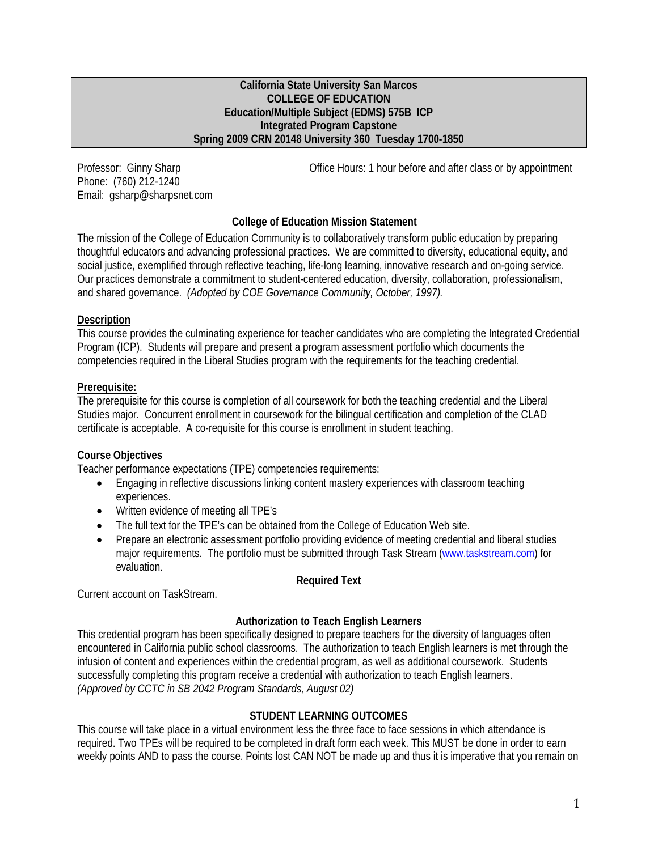#### **California State University San Marcos COLLEGE OF EDUCATION Education/Multiple Subject (EDMS) 575B ICP Integrated Program Capstone Spring 2009 CRN 20148 University 360 Tuesday 1700-1850**

Phone: (760) 212-1240 Email: gsharp@sharpsnet.com

Professor: Ginny Sharp **Communist Communist Communist Communist Communist Communist Communist Communist Communist Communist Communist Communist Communist Communist Communist Communist Communist Communist Communist Communis** 

# **College of Education Mission Statement**

The mission of the College of Education Community is to collaboratively transform public education by preparing thoughtful educators and advancing professional practices. We are committed to diversity, educational equity, and social justice, exemplified through reflective teaching, life-long learning, innovative research and on-going service. Our practices demonstrate a commitment to student-centered education, diversity, collaboration, professionalism, and shared governance. *(Adopted by COE Governance Community, October, 1997).* 

### **Description**

This course provides the culminating experience for teacher candidates who are completing the Integrated Credential Program (ICP). Students will prepare and present a program assessment portfolio which documents the competencies required in the Liberal Studies program with the requirements for the teaching credential.

## **Prerequisite:**

The prerequisite for this course is completion of all coursework for both the teaching credential and the Liberal Studies major. Concurrent enrollment in coursework for the bilingual certification and completion of the CLAD certificate is acceptable. A co-requisite for this course is enrollment in student teaching.

### **Course Objectives**

Teacher performance expectations (TPE) competencies requirements:

- Engaging in reflective discussions linking content mastery experiences with classroom teaching experiences.
- Written evidence of meeting all TPE's
- The full text for the TPE's can be obtained from the College of Education Web site.
- Prepare an electronic assessment portfolio providing evidence of meeting credential and liberal studies major requirements. The portfolio must be submitted through Task Stream (www.taskstream.com) for evaluation.

#### **Required Text**

Current account on TaskStream.

### **Authorization to Teach English Learners**

This credential program has been specifically designed to prepare teachers for the diversity of languages often encountered in California public school classrooms. The authorization to teach English learners is met through the infusion of content and experiences within the credential program, as well as additional coursework. Students successfully completing this program receive a credential with authorization to teach English learners. *(Approved by CCTC in SB 2042 Program Standards, August 02)* 

### **STUDENT LEARNING OUTCOMES**

This course will take place in a virtual environment less the three face to face sessions in which attendance is required. Two TPEs will be required to be completed in draft form each week. This MUST be done in order to earn weekly points AND to pass the course. Points lost CAN NOT be made up and thus it is imperative that you remain on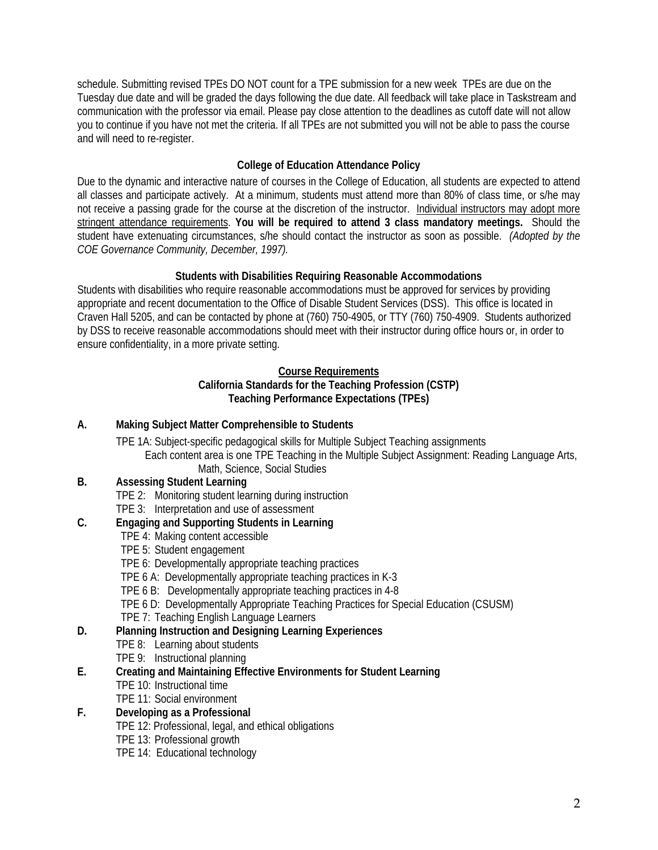schedule. Submitting revised TPEs DO NOT count for a TPE submission for a new week TPEs are due on the Tuesday due date and will be graded the days following the due date. All feedback will take place in Taskstream and communication with the professor via email. Please pay close attention to the deadlines as cutoff date will not allow you to continue if you have not met the criteria. If all TPEs are not submitted you will not be able to pass the course and will need to re-register.

# **College of Education Attendance Policy**

 all classes and participate actively. At a minimum, students must attend more than 80% of class time, or s/he may *COE Governance Community, December, 1997).* Due to the dynamic and interactive nature of courses in the College of Education, all students are expected to attend not receive a passing grade for the course at the discretion of the instructor. Individual instructors may adopt more stringent attendance requirements. **You will be required to attend 3 class mandatory meetings.** Should the student have extenuating circumstances, s/he should contact the instructor as soon as possible. *(Adopted by the* 

# **Students with Disabilities Requiring Reasonable Accommodations**

Students with disabilities who require reasonable accommodations must be approved for services by providing appropriate and recent documentation to the Office of Disable Student Services (DSS). This office is located in Craven Hall 5205, and can be contacted by phone at (760) 750-4905, or TTY (760) 750-4909. Students authorized by DSS to receive reasonable accommodations should meet with their instructor during office hours or, in order to ensure confidentiality, in a more private setting.

# **Course Requirements**

## **California Standards for the Teaching Profession (CSTP) Teaching Performance Expectations (TPEs)**

# **A. Making Subject Matter Comprehensible to Students**

TPE 1A: Subject-specific pedagogical skills for Multiple Subject Teaching assignments Each content area is one TPE Teaching in the Multiple Subject Assignment: Reading Language Arts, Math, Science, Social Studies

# **B. Assessing Student Learning**

- TPE 2: Monitoring student learning during instruction
- TPE 3: Interpretation and use of assessment

### **C. Engaging and Supporting Students in Learning**

- TPE 4: Making content accessible
- TPE 5: Student engagement
- TPE 6: Developmentally appropriate teaching practices
- TPE 6 A: Developmentally appropriate teaching practices in K-3
- TPE 6 B: Developmentally appropriate teaching practices in 4-8
- TPE 6 D: Developmentally Appropriate Teaching Practices for Special Education (CSUSM)
- TPE 7: Teaching English Language Learners

# **D. Planning Instruction and Designing Learning Experiences**

- TPE 8: Learning about students
- TPE 9: Instructional planning

# **E. Creating and Maintaining Effective Environments for Student Learning**

- TPE 10: Instructional time
- TPE 11: Social environment

# **F. Developing as a Professional**

- TPE 12: Professional, legal, and ethical obligations
- TPE 13: Professional growth
- TPE 14: Educational technology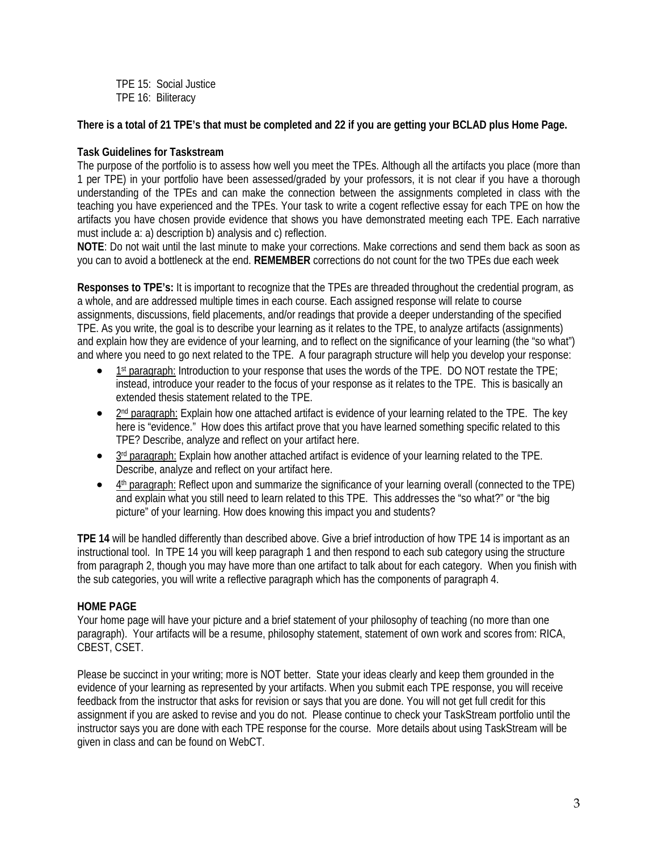TPE 15: Social Justice TPE 16: Biliteracy

**There is a total of 21 TPE's that must be completed and 22 if you are getting your BCLAD plus Home Page.** 

# **Task Guidelines for Taskstream**

 The purpose of the portfolio is to assess how well you meet the TPEs. Although all the artifacts you place (more than teaching you have experienced and the TPEs. Your task to write a cogent reflective essay for each TPE on how the 1 per TPE) in your portfolio have been assessed/graded by your professors, it is not clear if you have a thorough understanding of the TPEs and can make the connection between the assignments completed in class with the artifacts you have chosen provide evidence that shows you have demonstrated meeting each TPE. Each narrative must include a: a) description b) analysis and c) reflection.

**NOTE**: Do not wait until the last minute to make your corrections. Make corrections and send them back as soon as you can to avoid a bottleneck at the end. **REMEMBER** corrections do not count for the two TPEs due each week

**Responses to TPE's:** It is important to recognize that the TPEs are threaded throughout the credential program, as a whole, and are addressed multiple times in each course. Each assigned response will relate to course assignments, discussions, field placements, and/or readings that provide a deeper understanding of the specified TPE. As you write, the goal is to describe your learning as it relates to the TPE, to analyze artifacts (assignments) and explain how they are evidence of your learning, and to reflect on the significance of your learning (the "so what") and where you need to go next related to the TPE. A four paragraph structure will help you develop your response:

- $1<sup>st</sup>$  paragraph: Introduction to your response that uses the words of the TPE. DO NOT restate the TPE; instead, introduce your reader to the focus of your response as it relates to the TPE. This is basically an extended thesis statement related to the TPE.
- $\bullet$  2<sup>nd</sup> paragraph: Explain how one attached artifact is evidence of your learning related to the TPE. The key here is "evidence." How does this artifact prove that you have learned something specific related to this TPE? Describe, analyze and reflect on your artifact here.
- $\bullet$  3<sup>rd</sup> paragraph: Explain how another attached artifact is evidence of your learning related to the TPE. Describe, analyze and reflect on your artifact here.
- 4<sup>th</sup> paragraph: Reflect upon and summarize the significance of your learning overall (connected to the TPE) and explain what you still need to learn related to this TPE. This addresses the "so what?" or "the big picture" of your learning. How does knowing this impact you and students?

 **TPE 14** will be handled differently than described above. Give a brief introduction of how TPE 14 is important as an instructional tool. In TPE 14 you will keep paragraph 1 and then respond to each sub category using the structure from paragraph 2, though you may have more than one artifact to talk about for each category. When you finish with the sub categories, you will write a reflective paragraph which has the components of paragraph 4.

### **HOME PAGE**

Your home page will have your picture and a brief statement of your philosophy of teaching (no more than one paragraph). Your artifacts will be a resume, philosophy statement, statement of own work and scores from: RICA, CBEST, CSET.

Please be succinct in your writing; more is NOT better. State your ideas clearly and keep them grounded in the evidence of your learning as represented by your artifacts. When you submit each TPE response, you will receive feedback from the instructor that asks for revision or says that you are done. You will not get full credit for this assignment if you are asked to revise and you do not. Please continue to check your TaskStream portfolio until the instructor says you are done with each TPE response for the course. More details about using TaskStream will be given in class and can be found on WebCT.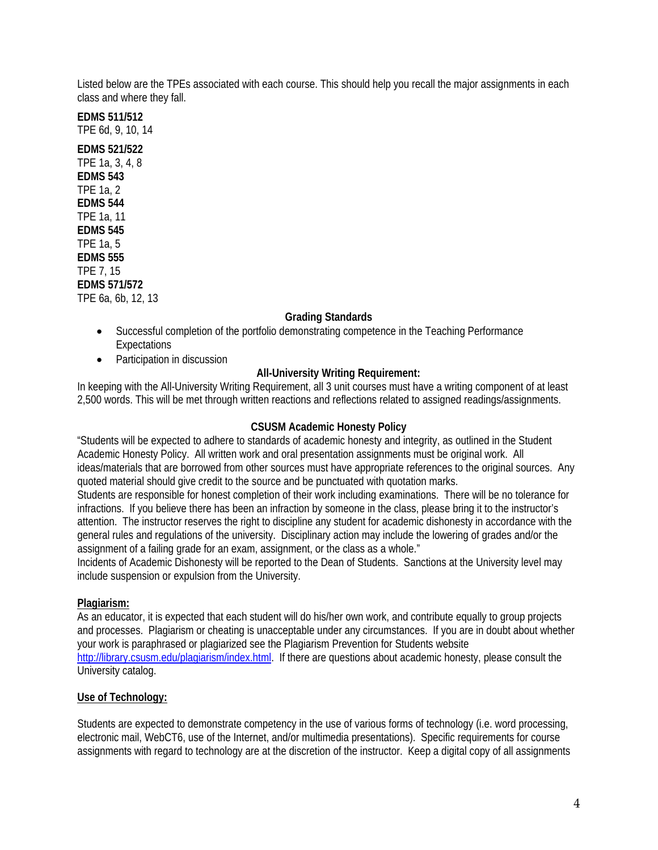Listed below are the TPEs associated with each course. This should help you recall the major assignments in each class and where they fall.

**EDMS 511/512**  TPE 6d, 9, 10, 14 **EDMS 521/522**  TPE 1a, 3, 4, 8 **EDMS 543**  TPE 1a, 2 **EDMS 544**  TPE 1a, 11 **EDMS 545**  TPE 1a, 5 **EDMS 555**  TPE 7, 15 **EDMS 571/572** 

# TPE 6a, 6b, 12, 13

### **Grading Standards**

- Successful completion of the portfolio demonstrating competence in the Teaching Performance **Expectations**
- Participation in discussion

### **All-University Writing Requirement:**

 2,500 words. This will be met through written reactions and reflections related to assigned readings/assignments. In keeping with the All-University Writing Requirement, all 3 unit courses must have a writing component of at least

#### **CSUSM Academic Honesty Policy**

"Students will be expected to adhere to standards of academic honesty and integrity, as outlined in the Student Academic Honesty Policy. All written work and oral presentation assignments must be original work. All ideas/materials that are borrowed from other sources must have appropriate references to the original sources. Any quoted material should give credit to the source and be punctuated with quotation marks.

Students are responsible for honest completion of their work including examinations. There will be no tolerance for infractions. If you believe there has been an infraction by someone in the class, please bring it to the instructor's attention. The instructor reserves the right to discipline any student for academic dishonesty in accordance with the general rules and regulations of the university. Disciplinary action may include the lowering of grades and/or the assignment of a failing grade for an exam, assignment, or the class as a whole."

Incidents of Academic Dishonesty will be reported to the Dean of Students. Sanctions at the University level may include suspension or expulsion from the University.

#### **Plagiarism:**

As an educator, it is expected that each student will do his/her own work, and contribute equally to group projects and processes. Plagiarism or cheating is unacceptable under any circumstances. If you are in doubt about whether your work is paraphrased or plagiarized see the Plagiarism Prevention for Students website http://library.csusm.edu/plagiarism/index.html. If there are questions about academic honesty, please consult the University catalog.

#### **Use of Technology:**

Students are expected to demonstrate competency in the use of various forms of technology (i.e. word processing, electronic mail, WebCT6, use of the Internet, and/or multimedia presentations). Specific requirements for course assignments with regard to technology are at the discretion of the instructor. Keep a digital copy of all assignments